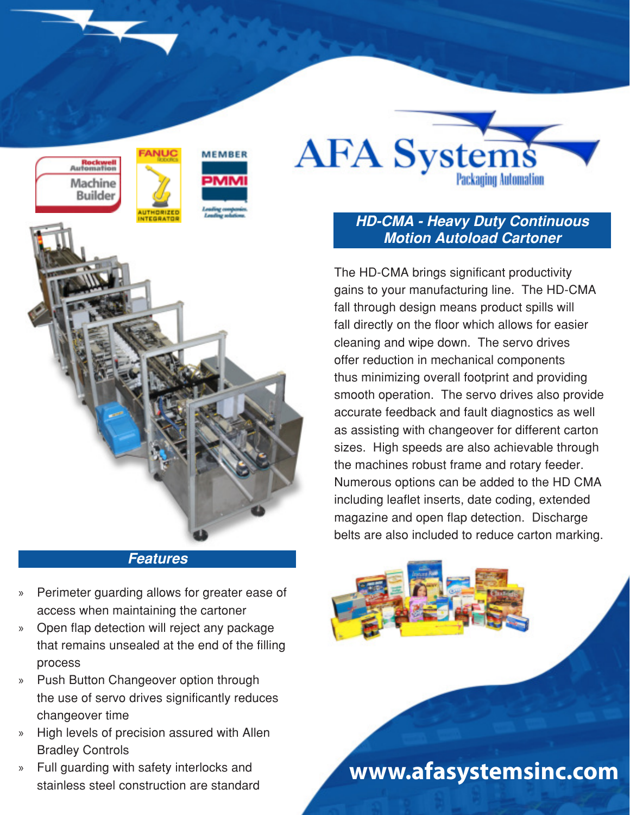



## **HD-CMA - Heavy Duty Continuous Motion Autoload Cartoner**

The HD-CMA brings significant productivity gains to your manufacturing line. The HD-CMA fall through design means product spills will fall directly on the floor which allows for easier cleaning and wipe down. The servo drives offer reduction in mechanical components thus minimizing overall footprint and providing smooth operation. The servo drives also provide accurate feedback and fault diagnostics as well as assisting with changeover for different carton sizes. High speeds are also achievable through the machines robust frame and rotary feeder. Numerous options can be added to the HD CMA including leaflet inserts, date coding, extended magazine and open flap detection. Discharge belts are also included to reduce carton marking.

### **Features**

- » Perimeter guarding allows for greater ease of access when maintaining the cartoner
- » Open flap detection will reject any package that remains unsealed at the end of the filling process
- » Push Button Changeover option through the use of servo drives significantly reduces changeover time
- » High levels of precision assured with Allen Bradley Controls
- » Full guarding with safety interlocks and stainless steel construction are standard

**www.afasystemsinc.com**